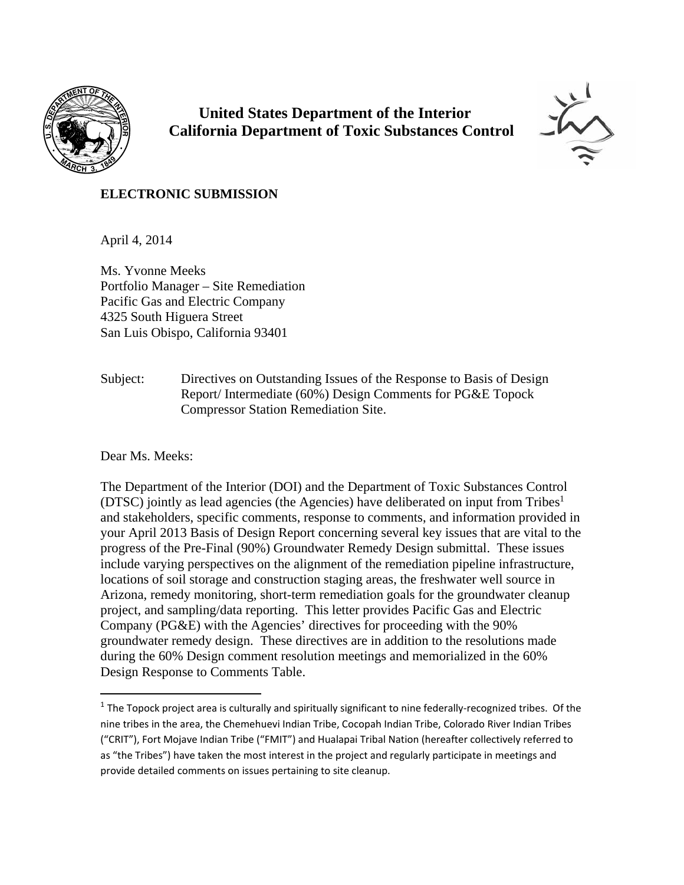

 **United States Department of the Interior California Department of Toxic Substances Control**



# **ELECTRONIC SUBMISSION**

April 4, 2014

Ms. Yvonne Meeks Portfolio Manager – Site Remediation Pacific Gas and Electric Company 4325 South Higuera Street San Luis Obispo, California 93401

Subject: Directives on Outstanding Issues of the Response to Basis of Design Report/ Intermediate (60%) Design Comments for PG&E Topock Compressor Station Remediation Site.

Dear Ms. Meeks:

The Department of the Interior (DOI) and the Department of Toxic Substances Control (DTSC) jointly as lead agencies (the Agencies) have deliberated on input from Tribes<sup>1</sup> and stakeholders, specific comments, response to comments, and information provided in your April 2013 Basis of Design Report concerning several key issues that are vital to the progress of the Pre-Final (90%) Groundwater Remedy Design submittal. These issues include varying perspectives on the alignment of the remediation pipeline infrastructure, locations of soil storage and construction staging areas, the freshwater well source in Arizona, remedy monitoring, short-term remediation goals for the groundwater cleanup project, and sampling/data reporting. This letter provides Pacific Gas and Electric Company (PG&E) with the Agencies' directives for proceeding with the 90% groundwater remedy design. These directives are in addition to the resolutions made during the 60% Design comment resolution meetings and memorialized in the 60% Design Response to Comments Table.

 $1$  The Topock project area is culturally and spiritually significant to nine federally-recognized tribes. Of the nine tribes in the area, the Chemehuevi Indian Tribe, Cocopah Indian Tribe, Colorado River Indian Tribes ("CRIT"), Fort Mojave Indian Tribe ("FMIT") and Hualapai Tribal Nation (hereafter collectively referred to as "the Tribes") have taken the most interest in the project and regularly participate in meetings and provide detailed comments on issues pertaining to site cleanup.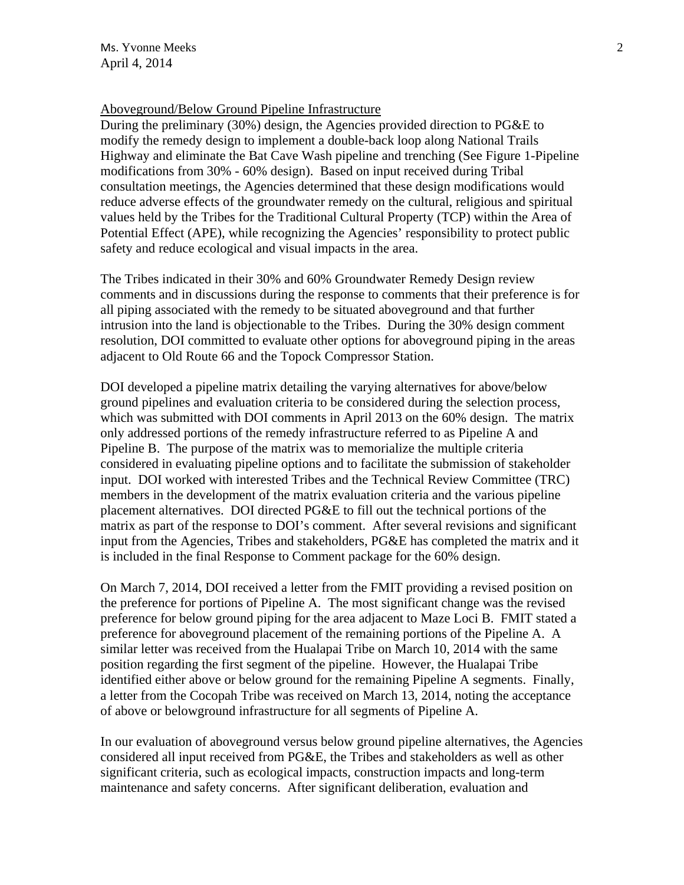# Aboveground/Below Ground Pipeline Infrastructure

During the preliminary (30%) design, the Agencies provided direction to PG&E to modify the remedy design to implement a double-back loop along National Trails Highway and eliminate the Bat Cave Wash pipeline and trenching (See Figure 1-Pipeline modifications from 30% - 60% design). Based on input received during Tribal consultation meetings, the Agencies determined that these design modifications would reduce adverse effects of the groundwater remedy on the cultural, religious and spiritual values held by the Tribes for the Traditional Cultural Property (TCP) within the Area of Potential Effect (APE), while recognizing the Agencies' responsibility to protect public safety and reduce ecological and visual impacts in the area.

The Tribes indicated in their 30% and 60% Groundwater Remedy Design review comments and in discussions during the response to comments that their preference is for all piping associated with the remedy to be situated aboveground and that further intrusion into the land is objectionable to the Tribes. During the 30% design comment resolution, DOI committed to evaluate other options for aboveground piping in the areas adjacent to Old Route 66 and the Topock Compressor Station.

DOI developed a pipeline matrix detailing the varying alternatives for above/below ground pipelines and evaluation criteria to be considered during the selection process, which was submitted with DOI comments in April 2013 on the 60% design. The matrix only addressed portions of the remedy infrastructure referred to as Pipeline A and Pipeline B. The purpose of the matrix was to memorialize the multiple criteria considered in evaluating pipeline options and to facilitate the submission of stakeholder input. DOI worked with interested Tribes and the Technical Review Committee (TRC) members in the development of the matrix evaluation criteria and the various pipeline placement alternatives. DOI directed PG&E to fill out the technical portions of the matrix as part of the response to DOI's comment. After several revisions and significant input from the Agencies, Tribes and stakeholders, PG&E has completed the matrix and it is included in the final Response to Comment package for the 60% design.

On March 7, 2014, DOI received a letter from the FMIT providing a revised position on the preference for portions of Pipeline A. The most significant change was the revised preference for below ground piping for the area adjacent to Maze Loci B. FMIT stated a preference for aboveground placement of the remaining portions of the Pipeline A. A similar letter was received from the Hualapai Tribe on March 10, 2014 with the same position regarding the first segment of the pipeline. However, the Hualapai Tribe identified either above or below ground for the remaining Pipeline A segments. Finally, a letter from the Cocopah Tribe was received on March 13, 2014, noting the acceptance of above or belowground infrastructure for all segments of Pipeline A.

In our evaluation of aboveground versus below ground pipeline alternatives, the Agencies considered all input received from PG&E, the Tribes and stakeholders as well as other significant criteria, such as ecological impacts, construction impacts and long-term maintenance and safety concerns. After significant deliberation, evaluation and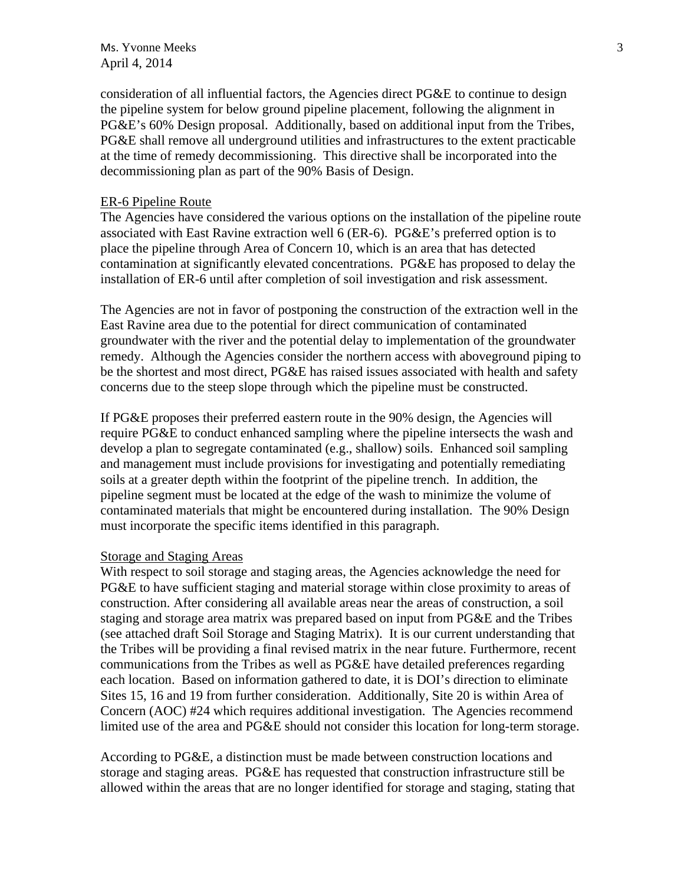$\mathsf{M}$ s. Yvonne Meeks 3 April 4, 2014

consideration of all influential factors, the Agencies direct PG&E to continue to design the pipeline system for below ground pipeline placement, following the alignment in PG&E's 60% Design proposal. Additionally, based on additional input from the Tribes, PG&E shall remove all underground utilities and infrastructures to the extent practicable at the time of remedy decommissioning. This directive shall be incorporated into the decommissioning plan as part of the 90% Basis of Design.

#### ER-6 Pipeline Route

The Agencies have considered the various options on the installation of the pipeline route associated with East Ravine extraction well 6 (ER-6). PG&E's preferred option is to place the pipeline through Area of Concern 10, which is an area that has detected contamination at significantly elevated concentrations. PG&E has proposed to delay the installation of ER-6 until after completion of soil investigation and risk assessment.

The Agencies are not in favor of postponing the construction of the extraction well in the East Ravine area due to the potential for direct communication of contaminated groundwater with the river and the potential delay to implementation of the groundwater remedy. Although the Agencies consider the northern access with aboveground piping to be the shortest and most direct, PG&E has raised issues associated with health and safety concerns due to the steep slope through which the pipeline must be constructed.

If PG&E proposes their preferred eastern route in the 90% design, the Agencies will require PG&E to conduct enhanced sampling where the pipeline intersects the wash and develop a plan to segregate contaminated (e.g., shallow) soils. Enhanced soil sampling and management must include provisions for investigating and potentially remediating soils at a greater depth within the footprint of the pipeline trench. In addition, the pipeline segment must be located at the edge of the wash to minimize the volume of contaminated materials that might be encountered during installation. The 90% Design must incorporate the specific items identified in this paragraph.

# Storage and Staging Areas

With respect to soil storage and staging areas, the Agencies acknowledge the need for PG&E to have sufficient staging and material storage within close proximity to areas of construction. After considering all available areas near the areas of construction, a soil staging and storage area matrix was prepared based on input from PG&E and the Tribes (see attached draft Soil Storage and Staging Matrix). It is our current understanding that the Tribes will be providing a final revised matrix in the near future. Furthermore, recent communications from the Tribes as well as PG&E have detailed preferences regarding each location. Based on information gathered to date, it is DOI's direction to eliminate Sites 15, 16 and 19 from further consideration. Additionally, Site 20 is within Area of Concern (AOC) #24 which requires additional investigation. The Agencies recommend limited use of the area and PG&E should not consider this location for long-term storage.

According to PG&E, a distinction must be made between construction locations and storage and staging areas. PG&E has requested that construction infrastructure still be allowed within the areas that are no longer identified for storage and staging, stating that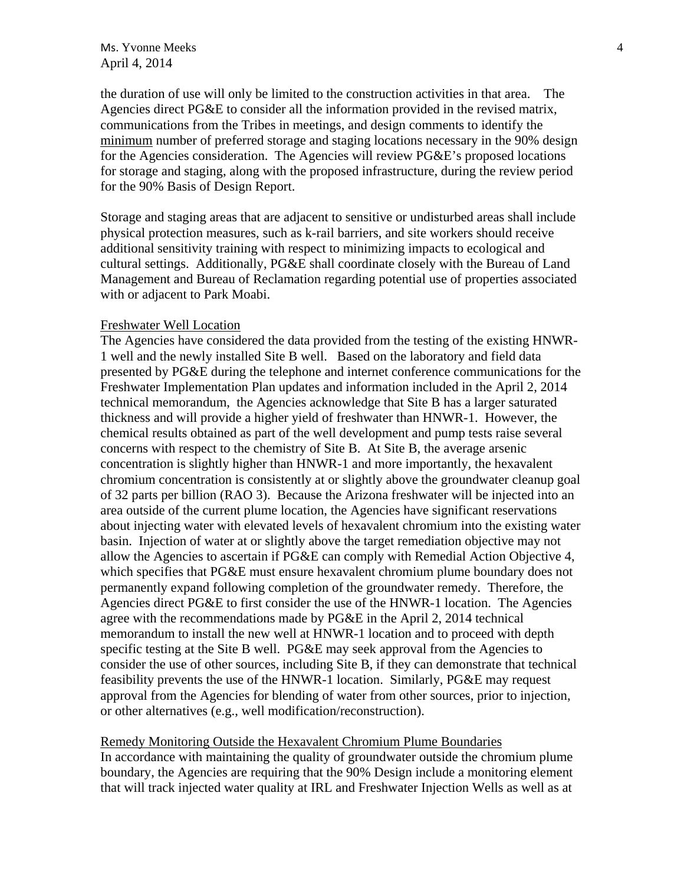# $\mathsf{Ms}$ . Yvonne Meeks  $\frac{4}{\sqrt{1-\frac{1}{\sqrt{1-\frac{1}{\sqrt{1-\frac{1}{\sqrt{1-\frac{1}{\sqrt{1-\frac{1}{\sqrt{1-\frac{1}{\sqrt{1-\frac{1}{\sqrt{1-\frac{1}{\sqrt{1-\frac{1}{\sqrt{1-\frac{1}{\sqrt{1-\frac{1}{\sqrt{1-\frac{1}{\sqrt{1-\frac{1}{\sqrt{1-\frac{1}{\sqrt{1-\frac{1}{\sqrt{1-\frac{1}{\sqrt{1-\frac{1}{\sqrt{1-\frac{1}{\sqrt{1-\frac{1}{\sqrt{1-\frac{1}{\sqrt{1-\frac{1}{\sqrt{$ April 4, 2014

the duration of use will only be limited to the construction activities in that area. The Agencies direct PG&E to consider all the information provided in the revised matrix, communications from the Tribes in meetings, and design comments to identify the minimum number of preferred storage and staging locations necessary in the 90% design for the Agencies consideration. The Agencies will review PG&E's proposed locations for storage and staging, along with the proposed infrastructure, during the review period for the 90% Basis of Design Report.

Storage and staging areas that are adjacent to sensitive or undisturbed areas shall include physical protection measures, such as k-rail barriers, and site workers should receive additional sensitivity training with respect to minimizing impacts to ecological and cultural settings. Additionally, PG&E shall coordinate closely with the Bureau of Land Management and Bureau of Reclamation regarding potential use of properties associated with or adjacent to Park Moabi.

#### Freshwater Well Location

The Agencies have considered the data provided from the testing of the existing HNWR-1 well and the newly installed Site B well. Based on the laboratory and field data presented by PG&E during the telephone and internet conference communications for the Freshwater Implementation Plan updates and information included in the April 2, 2014 technical memorandum, the Agencies acknowledge that Site B has a larger saturated thickness and will provide a higher yield of freshwater than HNWR-1. However, the chemical results obtained as part of the well development and pump tests raise several concerns with respect to the chemistry of Site B. At Site B, the average arsenic concentration is slightly higher than HNWR-1 and more importantly, the hexavalent chromium concentration is consistently at or slightly above the groundwater cleanup goal of 32 parts per billion (RAO 3). Because the Arizona freshwater will be injected into an area outside of the current plume location, the Agencies have significant reservations about injecting water with elevated levels of hexavalent chromium into the existing water basin. Injection of water at or slightly above the target remediation objective may not allow the Agencies to ascertain if PG&E can comply with Remedial Action Objective 4, which specifies that PG&E must ensure hexavalent chromium plume boundary does not permanently expand following completion of the groundwater remedy. Therefore, the Agencies direct PG&E to first consider the use of the HNWR-1 location. The Agencies agree with the recommendations made by PG&E in the April 2, 2014 technical memorandum to install the new well at HNWR-1 location and to proceed with depth specific testing at the Site B well. PG&E may seek approval from the Agencies to consider the use of other sources, including Site B, if they can demonstrate that technical feasibility prevents the use of the HNWR-1 location. Similarly, PG&E may request approval from the Agencies for blending of water from other sources, prior to injection, or other alternatives (e.g., well modification/reconstruction).

#### Remedy Monitoring Outside the Hexavalent Chromium Plume Boundaries

In accordance with maintaining the quality of groundwater outside the chromium plume boundary, the Agencies are requiring that the 90% Design include a monitoring element that will track injected water quality at IRL and Freshwater Injection Wells as well as at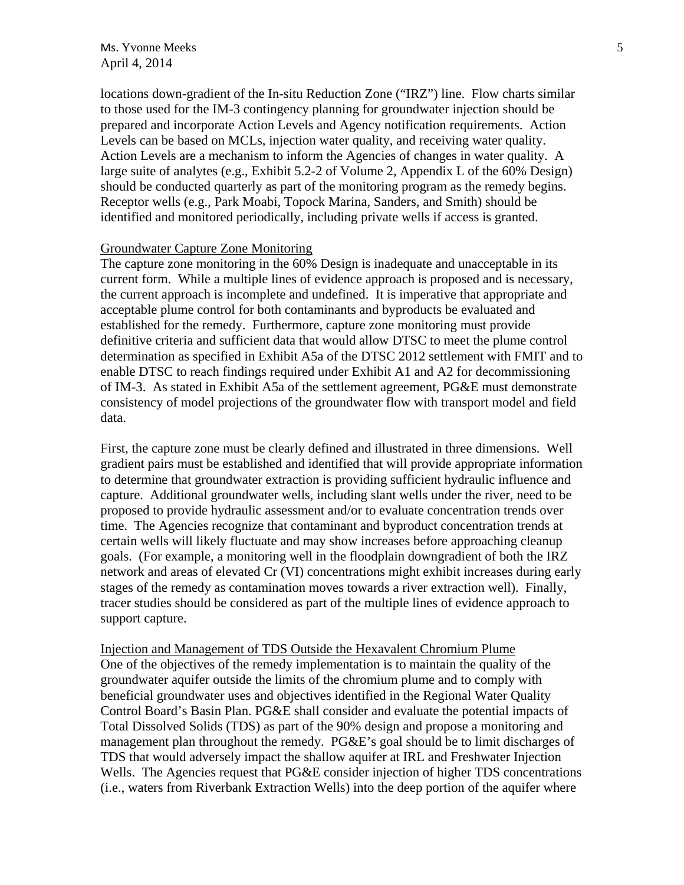$\mathsf{Ms}$ . Yvonne Meeks  $\mathsf{S}$ April 4, 2014

locations down-gradient of the In-situ Reduction Zone ("IRZ") line. Flow charts similar to those used for the IM-3 contingency planning for groundwater injection should be prepared and incorporate Action Levels and Agency notification requirements. Action Levels can be based on MCLs, injection water quality, and receiving water quality. Action Levels are a mechanism to inform the Agencies of changes in water quality. A large suite of analytes (e.g., Exhibit 5.2-2 of Volume 2, Appendix L of the 60% Design) should be conducted quarterly as part of the monitoring program as the remedy begins. Receptor wells (e.g., Park Moabi, Topock Marina, Sanders, and Smith) should be identified and monitored periodically, including private wells if access is granted.

# Groundwater Capture Zone Monitoring

The capture zone monitoring in the 60% Design is inadequate and unacceptable in its current form. While a multiple lines of evidence approach is proposed and is necessary, the current approach is incomplete and undefined. It is imperative that appropriate and acceptable plume control for both contaminants and byproducts be evaluated and established for the remedy. Furthermore, capture zone monitoring must provide definitive criteria and sufficient data that would allow DTSC to meet the plume control determination as specified in Exhibit A5a of the DTSC 2012 settlement with FMIT and to enable DTSC to reach findings required under Exhibit A1 and A2 for decommissioning of IM-3. As stated in Exhibit A5a of the settlement agreement, PG&E must demonstrate consistency of model projections of the groundwater flow with transport model and field data.

First, the capture zone must be clearly defined and illustrated in three dimensions. Well gradient pairs must be established and identified that will provide appropriate information to determine that groundwater extraction is providing sufficient hydraulic influence and capture. Additional groundwater wells, including slant wells under the river, need to be proposed to provide hydraulic assessment and/or to evaluate concentration trends over time. The Agencies recognize that contaminant and byproduct concentration trends at certain wells will likely fluctuate and may show increases before approaching cleanup goals. (For example, a monitoring well in the floodplain downgradient of both the IRZ network and areas of elevated Cr (VI) concentrations might exhibit increases during early stages of the remedy as contamination moves towards a river extraction well). Finally, tracer studies should be considered as part of the multiple lines of evidence approach to support capture.

Injection and Management of TDS Outside the Hexavalent Chromium Plume One of the objectives of the remedy implementation is to maintain the quality of the groundwater aquifer outside the limits of the chromium plume and to comply with beneficial groundwater uses and objectives identified in the Regional Water Quality Control Board's Basin Plan. PG&E shall consider and evaluate the potential impacts of Total Dissolved Solids (TDS) as part of the 90% design and propose a monitoring and management plan throughout the remedy. PG&E's goal should be to limit discharges of TDS that would adversely impact the shallow aquifer at IRL and Freshwater Injection Wells. The Agencies request that PG&E consider injection of higher TDS concentrations (i.e., waters from Riverbank Extraction Wells) into the deep portion of the aquifer where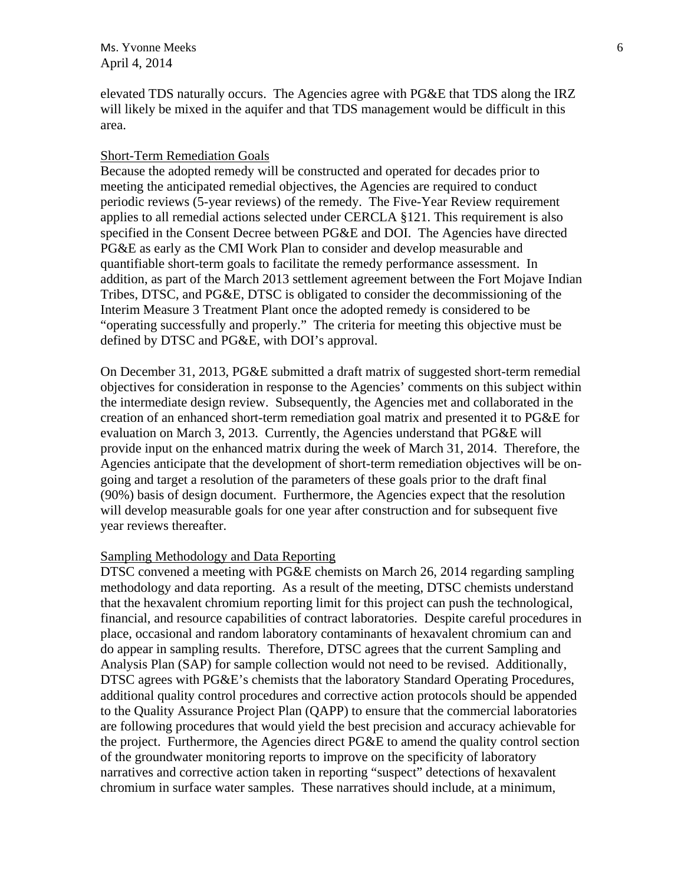$\mathsf{M}$ s. Yvonne Meeks 6 April 4, 2014

elevated TDS naturally occurs. The Agencies agree with PG&E that TDS along the IRZ will likely be mixed in the aquifer and that TDS management would be difficult in this area.

# Short-Term Remediation Goals

Because the adopted remedy will be constructed and operated for decades prior to meeting the anticipated remedial objectives, the Agencies are required to conduct periodic reviews (5-year reviews) of the remedy. The Five-Year Review requirement applies to all remedial actions selected under CERCLA §121. This requirement is also specified in the Consent Decree between PG&E and DOI. The Agencies have directed PG&E as early as the CMI Work Plan to consider and develop measurable and quantifiable short-term goals to facilitate the remedy performance assessment. In addition, as part of the March 2013 settlement agreement between the Fort Mojave Indian Tribes, DTSC, and PG&E, DTSC is obligated to consider the decommissioning of the Interim Measure 3 Treatment Plant once the adopted remedy is considered to be "operating successfully and properly." The criteria for meeting this objective must be defined by DTSC and PG&E, with DOI's approval.

On December 31, 2013, PG&E submitted a draft matrix of suggested short-term remedial objectives for consideration in response to the Agencies' comments on this subject within the intermediate design review. Subsequently, the Agencies met and collaborated in the creation of an enhanced short-term remediation goal matrix and presented it to PG&E for evaluation on March 3, 2013. Currently, the Agencies understand that PG&E will provide input on the enhanced matrix during the week of March 31, 2014. Therefore, the Agencies anticipate that the development of short-term remediation objectives will be ongoing and target a resolution of the parameters of these goals prior to the draft final (90%) basis of design document. Furthermore, the Agencies expect that the resolution will develop measurable goals for one year after construction and for subsequent five year reviews thereafter.

# Sampling Methodology and Data Reporting

DTSC convened a meeting with PG&E chemists on March 26, 2014 regarding sampling methodology and data reporting. As a result of the meeting, DTSC chemists understand that the hexavalent chromium reporting limit for this project can push the technological, financial, and resource capabilities of contract laboratories. Despite careful procedures in place, occasional and random laboratory contaminants of hexavalent chromium can and do appear in sampling results. Therefore, DTSC agrees that the current Sampling and Analysis Plan (SAP) for sample collection would not need to be revised. Additionally, DTSC agrees with PG&E's chemists that the laboratory Standard Operating Procedures, additional quality control procedures and corrective action protocols should be appended to the Quality Assurance Project Plan (QAPP) to ensure that the commercial laboratories are following procedures that would yield the best precision and accuracy achievable for the project. Furthermore, the Agencies direct PG&E to amend the quality control section of the groundwater monitoring reports to improve on the specificity of laboratory narratives and corrective action taken in reporting "suspect" detections of hexavalent chromium in surface water samples. These narratives should include, at a minimum,